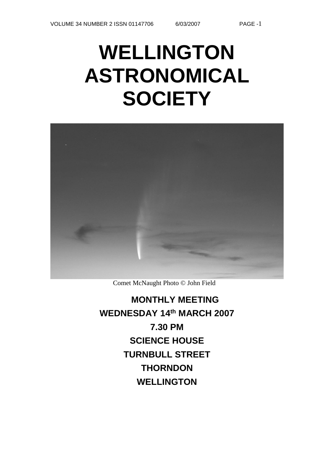## **WELLINGTON ASTRONOMICAL SOCIETY**



Comet McNaught Photo © John Field

**MONTHLY MEETING WEDNESDAY 14th MARCH 2007 7.30 PM SCIENCE HOUSE TURNBULL STREET THORNDON WELLINGTON**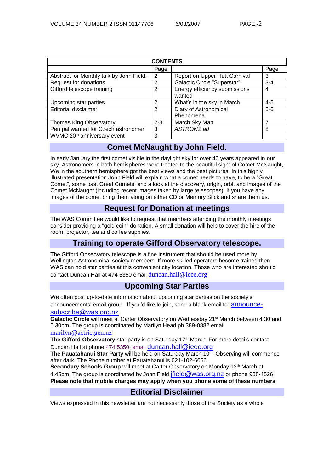| <b>CONTENTS</b>                          |               |                                         |         |  |
|------------------------------------------|---------------|-----------------------------------------|---------|--|
|                                          | Page          |                                         | Page    |  |
| Abstract for Monthly talk by John Field. | 2             | Report on Upper Hutt Carnival           | 3       |  |
| Request for donations                    | 2             | Galactic Circle "Superstar"             | $3 - 4$ |  |
| Gifford telescope training               | 2             | Energy efficiency submissions<br>wanted | 4       |  |
| Upcoming star parties                    | $\mathcal{P}$ | What's in the sky in March              | $4 - 5$ |  |
| Editorial disclaimer                     | 2             | Diary of Astronomical<br>Phenomena      | $5 - 6$ |  |
| <b>Thomas King Observatory</b>           | $2 - 3$       | March Sky Map                           | 7       |  |
| Pen pal wanted for Czech astronomer      | 3             | ASTRONZ ad                              | 8       |  |
| WVMC 20 <sup>th</sup> anniversary event  | 3             |                                         |         |  |

## **Comet McNaught by John Field.**

In early January the first comet visible in the daylight sky for over 40 years appeared in our sky. Astronomers in both hemispheres were treated to the beautiful sight of Comet McNaught, We in the southern hemisphere got the best views and the best pictures! In this highly illustrated presentation John Field will explain what a comet needs to have, to be a "Great Comet", some past Great Comets, and a look at the discovery, origin, orbit and images of the Comet McNaught (including recent images taken by large telescopes). If you have any images of the comet bring them along on either CD or Memory Stick and share them us.

## **Request for Donation at meetings**

The WAS Committee would like to request that members attending the monthly meetings consider providing a "gold coin" donation. A small donation will help to cover the hire of the room, projector, tea and coffee supplies.

## **Training to operate Gifford Observatory telescope.**

The Gifford Observatory telescope is a fine instrument that should be used more by Wellington Astronomical society members. If more skilled operators become trained then WAS can hold star parties at this convenient city location. Those who are interested should contact Duncan Hall at 474 5350 email [duncan.hall@ieee.org](mailto:duncan.hall@ieee.org)

## **Upcoming Star Parties**

We often post up-to-date information about upcoming star parties on the society's announcements' email group. If you'd like to join, send a blank email to: [announce](mailto:announce-subscribe@astronomy.wellington.net.nz)[subscribe@was.org.nz](mailto:announce-subscribe@astronomy.wellington.net.nz).

Galactic Circle will meet at Carter Observatory on Wednesday 21<sup>st</sup> March between 4.30 and 6.30pm. The group is coordinated by Marilyn Head ph 389-0882 email [marilyn@actric.gen.nz](mailto:marilyn@actric.gen.nz)

The Gifford Observatory star party is on Saturday 17<sup>th</sup> March. For more details contact Duncan Hall at phone 474 5350, email [duncan.hall@ieee.org](mailto:duncan.hall@ieee.org)

**The Pauatahanui Star Party** will be held on Saturday March 10<sup>th</sup>. Observing will commence after dark. The Phone number at Pauatahanui is 021-102-6056.

**Secondary Schools Group** will meet at Carter Observatory on Monday 12<sup>th</sup> March at 4.45pm. The group is coordinated by John Field *ifield @was.org.nz* or phone 938-4526 **Please note that mobile charges may apply when you phone some of these numbers**

## **Editorial Disclaimer**

Views expressed in this newsletter are not necessarily those of the Society as a whole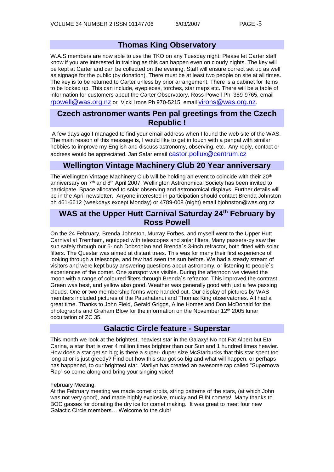## **Thomas King Observatory**

W.A.S members are now able to use the TKO on any Tuesday night. Please let Carter staff know if you are interested in training as this can happen even on cloudy nights. The key will be kept at Carter and can be collected on the evening. Staff will ensure correct set up as well as signage for the public (by donation). There must be at least two people on site at all times. The key is to be returned to Carter unless by prior arrangement. There is a cabinet for items to be locked up. This can include, eyepieces, torches, star maps etc. There will be a table of information for customers about the Carter Observatory. Ross Powell Ph 389-9765, email [rpowell@was.org.nz](mailto:rpowell@astronomy.wellington.net.nz) or Vicki Irons Ph 970-5215 email [virons@was.org.nz](mailto:virons@astronomy.wellington.net.nz).

## **Czech astronomer wants Pen pal greetings from the Czech Republic !**

A few days ago I managed to find your email address when I found the web site of the WAS. The main reason of this message is, I would like to get in touch with a penpal with similar hobbies to improve my English and discuss astronomy, observing, etc.. Any reply, contact or address would be appreciated. Jan Safar email [castor.pollux@centrum.cz](mailto:castor.pollux@centrum.cz)

## **Wellington Vintage Machinery Club 20 Year anniversary**

The Wellington Vintage Machinery Club will be holding an event to coincide with their 20<sup>th</sup> anniversary on  $7<sup>th</sup>$  and  $8<sup>th</sup>$  April 2007. Wellington Astronomical Society has been invited to participate. Space allocated to solar observing and astronomical displays. Further details will be in the April newsletter. Anyone interested in participation should contact Brenda Johnston ph 461-6612 (weekdays except Monday) or 4789-008 (night) email bjohnston@was.org.nz

## **WAS at the Upper Hutt Carnival Saturday 24th February by Ross Powell**

On the 24 February, Brenda Johnston, Murray Forbes, and myself went to the Upper Hutt Carnival at Trentham, equipped with telescopes and solar filters. Many passers-by saw the sun safely through our 6-inch Dobsonian and Brenda`s 3-inch refractor, both fitted with solar filters. The Questar was aimed at distant trees. This was for many their first experience of looking through a telescope, and few had seen the sun before. We had a steady stream of visitors and were kept busy answering questions about astronomy, or listening to people`s experiences of the comet. One sunspot was visible. During the afternoon we viewed the moon with a range of coloured filters through Brenda`s refractor. This improved the contrast. Green was best, and yellow also good. Weather was generally good with just a few passing clouds. One or two membership forms were handed out. Our display of pictures by WAS members included pictures of the Pauahatanui and Thomas King observatories. All had a great time. Thanks to John Field, Gerald Griggs, Aline Homes and Don McDonald for the photographs and Graham Blow for the information on the November 12<sup>th</sup> 2005 lunar occultation of ZC 35.

## **Galactic Circle feature - Superstar**

This month we look at the brightest, heaviest star in the Galaxy! No not Fat Albert but Eta Carina, a star that is over 4 million times brighter than our Sun and 1 hundred times heavier. How does a star get so big; is there a super- duper size McStarbucks that this star spent too long at or is just greedy? Find out how this star got so big and what will happen, or perhaps has happened, to our brightest star. Marilyn has created an awesome rap called "Supernova Rap" so come along and bring your singing voice!

#### February Meeting.

At the February meeting we made comet orbits, string patterns of the stars, (at which John was not very good), and made highly explosive, mucky and FUN comets! Many thanks to BOC gasses for donating the dry ice for comet making. It was great to meet four new Galactic Circle members… Welcome to the club!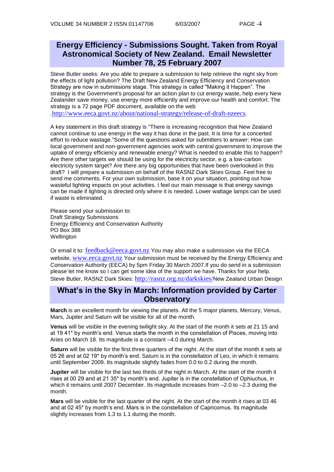## **Energy Efficiency - Submissions Sought. Taken from Royal Astronomical Society of New Zealand. Email Newsletter Number 78, 25 February 2007**

Steve Butler seeks: Are you able to prepare a submission to help retrieve the night sky from the effects of light pollution? The Draft New Zealand Energy Efficiency and Conservation Strategy are now in submissions stage. This strategy is called "Making it Happen". The strategy is the Government's proposal for an action plan to cut energy waste, help every New Zealander save money, use energy more efficiently and improve our health and comfort. The strategy is a 72 page PDF document, available on the web

.<http://www.eeca.govt.nz/about/national-strategy/release-of-draft-nzeecs>.

A key statement in this draft strategy is "There is increasing recognition that New Zealand cannot continue to use energy in the way it has done in the past. It is time for a concerted effort to reduce wastage."Some of the questions asked for submitters to answer: How can local government and non-government agencies work with central government to improve the uptake of energy efficiency and renewable energy? What is needed to enable this to happen? Are there other targets we should be using for the electricity sector, e.g. a low-carbon electricity system target? Are there any big opportunities that have been overlooked in this draft? I will prepare a submission on behalf of the RASNZ Dark Skies Group. Feel free to send me comments. For your own submission, base it on your situation, pointing out how wasteful lighting impacts on your activities. I feel our main message is that energy savings can be made if lighting is directed only where it is needed. Lower wattage lamps can be used if waste is eliminated.

Please send your submission to: Draft Strategy Submissions Energy Efficiency and Conservation Authority PO Box 388 **Wellington** 

Or email it to: [feedback@eeca.govt.nz](mailto:feedback@eeca.govt.nz) You may also make a submission via the EECA website, [www.eeca.govt.nz](http://www.eeca.govt.nz/) Your submission must be received by the Energy Efficiency and Conservation Authority (EECA) by 5pm Friday 30 March 2007.If you do send in a submission please let me know so I can get some idea of the support we have. Thanks for your help. Steve Butler, RASNZ Dark Skies: <http://rasnz.org.nz/darkskies/>New Zealand Urban Design

## **What's in the Sky in March: Information provided by Carter Observatory**

**March** is an excellent month for viewing the planets. All the 5 major planets, Mercury, Venus, Mars, Jupiter and Saturn will be visible for all of the month.

**Venus** will be visible in the evening twilight sky. At the start of the month it sets at 21 15 and at 19 41\* by month's end. Venus starts the month in the constellation of Pisces, moving into Aries on March 18. Its magnitude is a constant –4.0 during March.

**Saturn** will be visible for the first three quarters of the night. At the start of the month it sets at 05 26 and at 02 19\* by month's end. Saturn is in the constellation of Leo, in which it remains until September 2009. Its magnitude slightly fades from 0.0 to 0.2 during the month.

**Jupiter** will be visible for the last two thirds of the night in March. At the start of the month it rises at 00 29 and at 21 35\* by month's end. Jupiter is in the constellation of Ophiuchus, in which it remains until 2007 December. Its magnitude increases from –2.0 to –2.3 during the month.

**Mars** will be visible for the last quarter of the night. At the start of the month it rises at 03 46 and at 02 45\* by month's end. Mars is in the constellation of Capricornus. Its magnitude slightly increases from 1.3 to 1.1 during the month.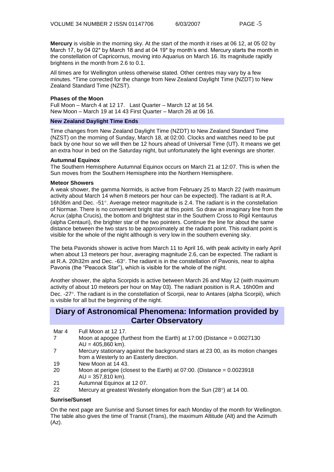**Mercury** is visible in the morning sky. At the start of the month it rises at 06 12, at 05 02 by March 17, by 04 02<sup>\*</sup> by March 18 and at 04 19<sup>\*</sup> by month's end. Mercury starts the month in the constellation of Capricornus, moving into Aquarius on March 16. Its magnitude rapidly brightens in the month from 2.6 to 0.1.

All times are for Wellington unless otherwise stated. Other centres may vary by a few minutes. \*Time corrected for the change from New Zealand Daylight Time (NZDT) to New Zealand Standard Time (NZST).

#### **Phases of the Moon**

Full Moon – March 4 at 12 17. Last Quarter – March 12 at 16 54. New Moon – March 19 at 14 43 First Quarter – March 26 at 06 16.

#### **New Zealand Daylight Time Ends**

Time changes from New Zealand Daylight Time (NZDT) to New Zealand Standard Time (NZST) on the morning of Sunday, March 18, at 02:00. Clocks and watches need to be put back by one hour so we will then be 12 hours ahead of Universal Time (UT). It means we get an extra hour in bed on the Saturday night, but unfortunately the light evenings are shorter.

#### **Autumnal Equinox**

The Southern Hemisphere Autumnal Equinox occurs on March 21 at 12:07. This is when the Sun moves from the Southern Hemisphere into the Northern Hemisphere.

#### **Meteor Showers**

A weak shower, the gamma Normids, is active from February 25 to March 22 (with maximum activity about March 14 when 8 meteors per hour can be expected). The radiant is at R.A. 16h36m and Dec. -51°. Average meteor magnitude is 2.4. The radiant is in the constellation of Normae. There is no convenient bright star at this point. So draw an imaginary line from the Acrux (alpha Crucis), the bottom and brightest star in the Southern Cross to Rigil Kentaurus (alpha Centauri), the brighter star of the two pointers. Continue the line for about the same distance between the two stars to be approximately at the radiant point. This radiant point is visible for the whole of the night although is very low in the southern evening sky.

The beta Pavonids shower is active from March 11 to April 16, with peak activity in early April when about 13 meteors per hour, averaging magnitude 2.6, can be expected. The radiant is at R.A. 20h32m and Dec.  $-63^\circ$ . The radiant is in the constellation of Pavonis, near to alpha Pavonis (the "Peacock Star"), which is visible for the whole of the night.

Another shower, the alpha Scorpids is active between March 26 and May 12 (with maximum activity of about 10 meteors per hour on May 03). The radiant position is R.A. 16h00m and Dec. -27°. The radiant is in the constellation of Scorpii, near to Antares (alpha Scorpii), which is visible for all but the beginning of the night.

### **Diary of Astronomical Phenomena: Information provided by Carter Observatory**

- Mar 4 Full Moon at 12 17.
- 7 Moon at apogee (furthest from the Earth) at 17:00 (Distance = 0.0027130  $AU = 405,860$  km).
- 7 Mercury stationary against the background stars at 23 00, as its motion changes from a Westerly to an Easterly direction.
- 19 New Moon at 14 43.
- 20 Moon at perigee (closest to the Earth) at 07:00. (Distance = 0.0023918  $AU = 357,810$  km).
- 21 Autumnal Equinox at 12 07.
- 22 Mercury at greatest Westerly elongation from the Sun  $(28^{\circ})$  at 14 00.

#### **Sunrise/Sunset**

On the next page are Sunrise and Sunset times for each Monday of the month for Wellington. The table also gives the time of Transit (Trans), the maximum Altitude (Alt) and the Azimuth (Az).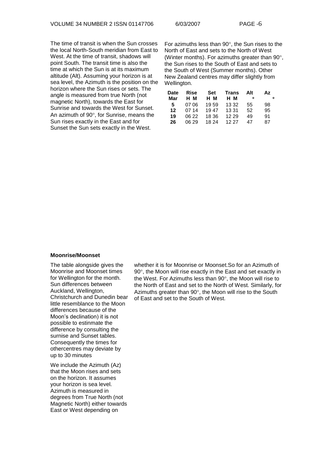The time of transit is when the Sun crosses the local North-South meridian from East to West. At the time of transit, shadows will point South. The transit time is also the time at which the Sun is at its maximum altitude (Alt). Assuming your horizon is at sea level, the Azimuth is the position on the horizon where the Sun rises or sets. The angle is measured from true North (not magnetic North), towards the East for Sunrise and towards the West for Sunset. An azimuth of  $90^\circ$ , for Sunrise, means the Sun rises exactly in the East and for Sunset the Sun sets exactly in the West.

For azimuths less than  $90^\circ$ , the Sun rises to the North of East and sets to the North of West (Winter months). For azimuths greater than  $90^\circ$ . the Sun rises to the South of East and sets to the South of West (Summer months). Other New Zealand centres may differ slightly from Wellington.

| <b>Date</b> | Rise  | <b>Set</b> | Trans | Alt | Αz |
|-------------|-------|------------|-------|-----|----|
| Mar         | H M   | н м        | н м   | ۰   | ۰  |
| 5.          | 07.06 | 1959       | 13 32 | 55  | 98 |
| 12          | 07 14 | 1947       | 13 31 | 52  | 95 |
| 19          | 06 22 | 18 36      | 12 29 | 49  | 91 |
| 26          | 06.29 | 18 24      | 12.27 | 47  | 87 |

#### **Moonrise/Moonset**

The table alongside gives the Moonrise and Moonset times for Wellington for the month. Sun differences between Auckland, Wellington, Christchurch and Dunedin bear little resemblance to the Moon differences because of the Moon's declination) it is not possible to estinmate the difference by consulting the surnise and Sunset tables. Consequently the times for othercentres may deviate by up to 30 minutes

We include the Azimuth (Az) that the Moon rises and sets on the horizon. It assumes your horizon is sea level. Azimuth is measured in degrees from True North (not Magnetic North) either towards East or West depending on

whether it is for Moonrise or Moonset.So for an Azimuth of 90°, the Moon will rise exactly in the East and set exactly in the West. For Azimuths less than  $90^\circ$ , the Moon will rise to the North of East and set to the North of West. Similarly, for Azimuths greater than  $90^\circ$ , the Moon will rise to the South of East and set to the South of West.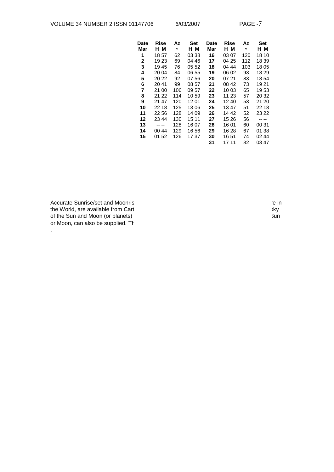| Date<br>Mar  | Rise<br>н м | Αz<br>۰ | Set<br>н м | Date<br>Mar | Rise<br>нм | Αz<br>$\bullet$ | Set<br>нм |
|--------------|-------------|---------|------------|-------------|------------|-----------------|-----------|
|              |             |         |            |             |            |                 |           |
| 1            | 18 57       | 62      | 03 38      | 16          | 03 07      | 120             | 18 10     |
| $\mathbf{2}$ | 19 23       | 69      | 04 46      | 17          | 04 25      | 112             | 18 39     |
| 3            | 1945        | 76      | 05 52      | 18          | 04 44      | 103             | 18 05     |
| 4            | 20 04       | 84      | 06 55      | 19          | 06 02      | 93              | 18 29     |
| 5            | 20 22       | 92      | 07 56      | 20          | 07 21      | 83              | 1854      |
| 6            | 2041        | 99      | 08 57      | 21          | 08 42      | 73              | 19 21     |
| 7            | 21 00       | 106     | 09 57      | 22          | 10 03      | 65              | 1953      |
| 8            | 21 22       | 114     | 10 59      | 23          | 11 23      | 57              | 20 32     |
| 9            | 21 47       | 120     | 12 01      | 24          | 1240       | 53              | 21 20     |
| 10           | 22 18       | 125     | 1306       | 25          | 13 47      | 51              | 22 18     |
| 11           | 22 56       | 128     | 14 09      | 26          | 14 42      | 52              | 23 22     |
| 12           | 23 44       | 130     | 15 11      | 27          | 15 26      | 56              |           |
| 13           |             | 128     | 16 07      | 28          | 16 01      | 60              | 00 31     |
| 14           | 00 44       | 129     | 16 56      | 29          | 16 28      | 67              | 01 38     |
| 15           | 01 52       | 126     | 17 37      | 30          | 16 51      | 74              | 02 44     |
|              |             |         |            | 31          | 17 11      | 82              | 03 47     |

Accurate Sunrise/set and Moonrise for any location, in New Zealand or any location, in New Zealand or any location, in New Zealand or any location, in New Zealand or any location, in New Zealand or anywhere in  $\mathbb{R}$ the World, are available from Carter observation in the world, are available from Carter of the Sun and Moon (or planets) of the Sun and Moon (or planets) or Moon, can also be supplied. The

.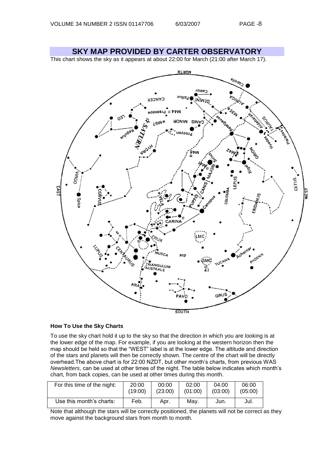**SKY MAP PROVIDED BY CARTER OBSERVATORY** This chart shows the sky as it appears at about 22:00 for March (21:00 after March 17). **HTROM** e<sub>llade</sub> Castor xnilo: CANCER **INIWE** Praesepe ьM L9W\* HONIM SINA **RAMARY** Procyon WONY OSHIA CETUS. EAS **WEST** COLOMB **Spica** MUS<sub>CA</sub> scp RIANGULUM<br>USTRALE GRUS SOUTH

#### **How To Use the Sky Charts**

To use the sky chart hold it up to the sky so that the direction in which you are looking is at the lower edge of the map. For example, if you are looking at the western horizon then the map should be held so that the "WEST" label is at the lower edge. The altitude and direction of the stars and planets will then be correctly shown. The centre of the chart will be directly overhead.The above chart is for 22:00 NZDT, but other month's charts, from previous WAS *Newsletters*, can be used at other times of the night. The table below indicates which month's chart, from back copies, can be used at other times during this month.

| For this time of the night: | 20:00   | 00:00   | 02:00   | 04:00   | 06:00   |
|-----------------------------|---------|---------|---------|---------|---------|
|                             | (19:00) | (23:00) | (01:00) | (03:00) | (05:00) |
| Use this month's charts:    | Feb.    | Apr.    | Mav.    | Jun.    | Jul.    |

Note that although the stars will be correctly positioned, the planets will not be correct as they move against the background stars from month to month.